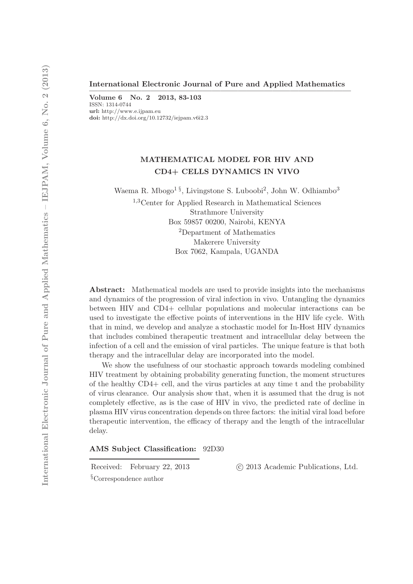#### International Electronic Journal of Pure and Applied Mathematics ——————————————————————————————

Volume 6 No. 2 2013, 83-103 ISSN: 1314-0744 url: http://www.e.ijpam.eu doi: http://dx.doi.org/10.12732/iejpam.v6i2.3

# MATHEMATICAL MODEL FOR HIV AND CD4+ CELLS DYNAMICS IN VIVO

Waema R. Mbogo<sup>1§</sup>, Livingstone S. Luboobi<sup>2</sup>, John W. Odhiambo<sup>3</sup>

<sup>1</sup>,3Center for Applied Research in Mathematical Sciences Strathmore University Box 59857 00200, Nairobi, KENYA <sup>2</sup>Department of Mathematics Makerere University Box 7062, Kampala, UGANDA

Abstract: Mathematical models are used to provide insights into the mechanisms and dynamics of the progression of viral infection in vivo. Untangling the dynamics between HIV and CD4+ cellular populations and molecular interactions can be used to investigate the effective points of interventions in the HIV life cycle. With that in mind, we develop and analyze a stochastic model for In-Host HIV dynamics that includes combined therapeutic treatment and intracellular delay between the infection of a cell and the emission of viral particles. The unique feature is that both therapy and the intracellular delay are incorporated into the model.

We show the usefulness of our stochastic approach towards modeling combined HIV treatment by obtaining probability generating function, the moment structures of the healthy CD4+ cell, and the virus particles at any time t and the probability of virus clearance. Our analysis show that, when it is assumed that the drug is not completely effective, as is the case of HIV in vivo, the predicted rate of decline in plasma HIV virus concentration depends on three factors: the initial viral load before therapeutic intervention, the efficacy of therapy and the length of the intracellular delay.

AMS Subject Classification: 92D30

Received: February 22, 2013 (c) 2013 Academic Publications, Ltd.

§Correspondence author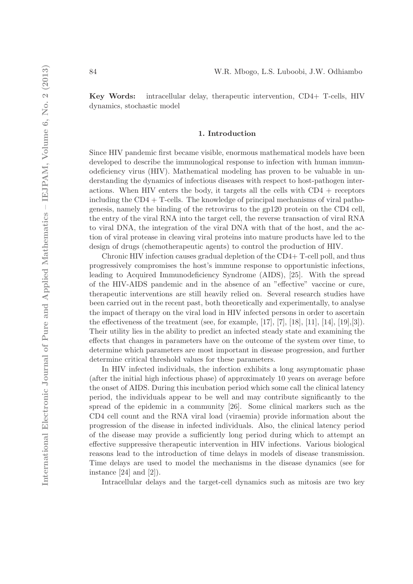Key Words: intracellular delay, therapeutic intervention, CD4+ T-cells, HIV dynamics, stochastic model

#### 1. Introduction

Since HIV pandemic first became visible, enormous mathematical models have been developed to describe the immunological response to infection with human immunodeficiency virus (HIV). Mathematical modeling has proven to be valuable in understanding the dynamics of infectious diseases with respect to host-pathogen interactions. When HIV enters the body, it targets all the cells with  $CD4 +$  receptors including the  $CD4 + T$ -cells. The knowledge of principal mechanisms of viral pathogenesis, namely the binding of the retrovirus to the gp120 protein on the CD4 cell, the entry of the viral RNA into the target cell, the reverse transaction of viral RNA to viral DNA, the integration of the viral DNA with that of the host, and the action of viral protease in cleaving viral proteins into mature products have led to the design of drugs (chemotherapeutic agents) to control the production of HIV.

Chronic HIV infection causes gradual depletion of the CD4+ T-cell poll, and thus progressively compromises the host's immune response to opportunistic infections, leading to Acquired Immunodeficiency Syndrome (AIDS), [25]. With the spread of the HIV-AIDS pandemic and in the absence of an "effective" vaccine or cure, therapeutic interventions are still heavily relied on. Several research studies have been carried out in the recent past, both theoretically and experimentally, to analyse the impact of therapy on the viral load in HIV infected persons in order to ascertain the effectiveness of the treatment (see, for example,  $[17]$ ,  $[7]$ ,  $[18]$ ,  $[11]$ ,  $[14]$ ,  $[19]$ , $[3]$ ). Their utility lies in the ability to predict an infected steady state and examining the effects that changes in parameters have on the outcome of the system over time, to determine which parameters are most important in disease progression, and further determine critical threshold values for these parameters.

In HIV infected individuals, the infection exhibits a long asymptomatic phase (after the initial high infectious phase) of approximately 10 years on average before the onset of AIDS. During this incubation period which some call the clinical latency period, the individuals appear to be well and may contribute significantly to the spread of the epidemic in a community [26]. Some clinical markers such as the CD4 cell count and the RNA viral load (viraemia) provide information about the progression of the disease in infected individuals. Also, the clinical latency period of the disease may provide a sufficiently long period during which to attempt an effective suppressive therapeutic intervention in HIV infections. Various biological reasons lead to the introduction of time delays in models of disease transmission. Time delays are used to model the mechanisms in the disease dynamics (see for instance  $[24]$  and  $[2]$ .

Intracellular delays and the target-cell dynamics such as mitosis are two key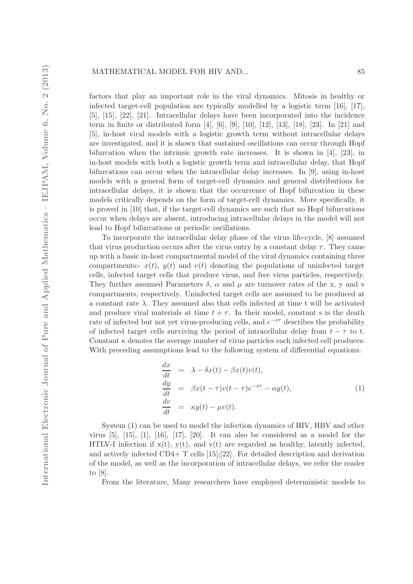factors that play an important role in the viral dynamics. Mitosis in healthy or infected target-cell population are typically modelled by a logistic term [16], [17], [5], [15], [22], [21]. Intracellular delays have been incorporated into the incidence term in finite or distributed form [4], [6], [9], [10], [12], [13], [18], [23]. In [21] and [5], in-host viral models with a logistic growth term without intracellular delays are investigated, and it is shown that sustained oscillations can occur through Hopf bifurcation when the intrinsic growth rate increases. It is shown in  $[4]$ ,  $[23]$ , in in-host models with both a logistic growth term and intracellular delay, that Hopf bifurcations can occur when the intracellular delay increases. In [9], using in-host models with a general form of target-cell dynamics and general distributions for intracellular delays, it is shown that the occurrence of Hopf bifurcation in these models critically depends on the form of target-cell dynamics. More specifically, it is proved in [10] that, if the target-cell dynamics are such that no Hopf bifurcations occur when delays are absent, introducing intracellular delays in the model will not lead to Hopf bifurcations or periodic oscillations.

To incorporate the intracellular delay phase of the virus life-cycle, [8] assumed that virus production occurs after the virus entry by a constant delay  $\tau$ . They came up with a basic in-host compartmental model of the viral dynamics containing three compartments:-  $x(t)$ ,  $y(t)$  and  $v(t)$  denoting the populations of uninfected target cells, infected target cells that produce virus, and free virus particles, respectively. They further assumed Parameters  $\delta$ ,  $\alpha$  and  $\mu$  are turnover rates of the x, y and v compartments, respectively. Uninfected target cells are assumed to be produced at a constant rate  $\lambda$ . They assumed also that cells infected at time t will be activated and produce viral materials at time  $t + \tau$ . In their model, constant s is the death rate of infected but not yet virus-producing cells, and  $e^{-s\tau}$  describes the probability of infected target cells surviving the period of intracellular delay from  $t - \tau$  to t. Constant  $\kappa$  denotes the average number of virus particles each infected cell produces. With preceding assumptions lead to the following system of differential equations.

$$
\begin{aligned}\n\frac{dx}{dt} &= \lambda - \delta x(t) - \beta x(t)v(t), \\
\frac{dy}{dt} &= \beta x(t-\tau)v(t-\tau)e^{-s\tau} - \alpha y(t), \\
\frac{dv}{dt} &= \kappa y(t) - \mu v(t).\n\end{aligned} \tag{1}
$$

System (1) can be used to model the infection dynamics of HIV, HBV and other virus  $[5]$ ,  $[15]$ ,  $[1]$ ,  $[16]$ ,  $[17]$ ,  $[20]$ . It can also be considered as a model for the HTLV-I infection if  $x(t)$ ,  $y(t)$ , and  $v(t)$  are regarded as healthy, latently infected, and actively infected CD4+ T cells [15];[22]. For detailed description and derivation of the model, as well as the incorporation of intracellular delays, we refer the reader to [8].

From the literature, Many researchers have employed deterministic models to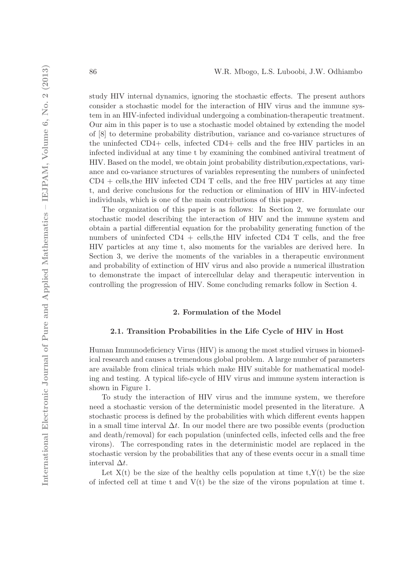study HIV internal dynamics, ignoring the stochastic effects. The present authors consider a stochastic model for the interaction of HIV virus and the immune system in an HIV-infected individual undergoing a combination-therapeutic treatment. Our aim in this paper is to use a stochastic model obtained by extending the model of [8] to determine probability distribution, variance and co-variance structures of the uninfected CD4+ cells, infected CD4+ cells and the free HIV particles in an infected individual at any time t by examining the combined antiviral treatment of HIV. Based on the model, we obtain joint probability distribution,expectations, variance and co-variance structures of variables representing the numbers of uninfected  $CD4 +$  cells, the HIV infected CD4 T cells, and the free HIV particles at any time t, and derive conclusions for the reduction or elimination of HIV in HIV-infected individuals, which is one of the main contributions of this paper.

The organization of this paper is as follows: In Section 2, we formulate our stochastic model describing the interaction of HIV and the immune system and obtain a partial differential equation for the probability generating function of the numbers of uninfected  $CD4$  + cells, the HIV infected  $CD4$  T cells, and the free HIV particles at any time t, also moments for the variables are derived here. In Section 3, we derive the moments of the variables in a therapeutic environment and probability of extinction of HIV virus and also provide a numerical illustration to demonstrate the impact of intercellular delay and therapeutic intervention in controlling the progression of HIV. Some concluding remarks follow in Section 4.

### 2. Formulation of the Model

### 2.1. Transition Probabilities in the Life Cycle of HIV in Host

Human Immunodeficiency Virus (HIV) is among the most studied viruses in biomedical research and causes a tremendous global problem. A large number of parameters are available from clinical trials which make HIV suitable for mathematical modeling and testing. A typical life-cycle of HIV virus and immune system interaction is shown in Figure 1.

To study the interaction of HIV virus and the immune system, we therefore need a stochastic version of the deterministic model presented in the literature. A stochastic process is defined by the probabilities with which different events happen in a small time interval  $\Delta t$ . In our model there are two possible events (production and death/removal) for each population (uninfected cells, infected cells and the free virons). The corresponding rates in the deterministic model are replaced in the stochastic version by the probabilities that any of these events occur in a small time interval  $\Delta t$ .

Let  $X(t)$  be the size of the healthy cells population at time  $t, Y(t)$  be the size of infected cell at time t and  $V(t)$  be the size of the virons population at time t.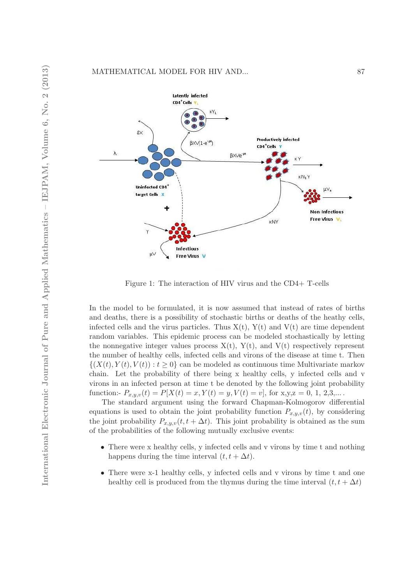

Figure 1: The interaction of HIV virus and the CD4+ T-cells

In the model to be formulated, it is now assumed that instead of rates of births and deaths, there is a possibility of stochastic births or deaths of the heathy cells, infected cells and the virus particles. Thus  $X(t)$ ,  $Y(t)$  and  $V(t)$  are time dependent random variables. This epidemic process can be modeled stochastically by letting the nonnegative integer values process  $X(t)$ ,  $Y(t)$ , and  $V(t)$  respectively represent the number of healthy cells, infected cells and virons of the disease at time t. Then  $\{(X(t), Y(t), V(t)) : t \geq 0\}$  can be modeled as continuous time Multivariate markov chain. Let the probability of there being x healthy cells, y infected cells and v virons in an infected person at time t be denoted by the following joint probability function:-  $P_{x,y,v}(t) = P[X(t) = x, Y(t) = y, V(t) = v]$ , for x,y,z = 0, 1, 2,3,...

The standard argument using the forward Chapman-Kolmogorov differential equations is used to obtain the joint probability function  $P_{x,y,v}(t)$ , by considering the joint probability  $P_{x,y,v}(t, t + \Delta t)$ . This joint probability is obtained as the sum of the probabilities of the following mutually exclusive events:

- There were x healthy cells, y infected cells and v virons by time t and nothing happens during the time interval  $(t, t + \Delta t)$ .
- There were x-1 healthy cells, y infected cells and v virons by time t and one healthy cell is produced from the thymus during the time interval  $(t, t + \Delta t)$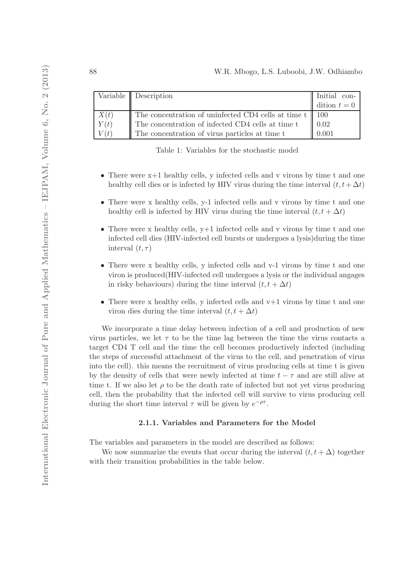|      | Variable $\parallel$ Description                                    | Initial con- |
|------|---------------------------------------------------------------------|--------------|
|      |                                                                     | dition $t=0$ |
| X(t) | The concentration of uninfected CD4 cells at time $t \parallel 100$ |              |
| Y(t) | The concentration of infected CD4 cells at time <b>t</b>            | 0.02         |
| V(t) | The concentration of virus particles at time t                      | 0.001        |

Table 1: Variables for the stochastic model

- There were  $x+1$  healthy cells, y infected cells and v virons by time t and one healthy cell dies or is infected by HIV virus during the time interval  $(t, t + \Delta t)$
- There were x healthy cells, y-1 infected cells and y virons by time t and one healthy cell is infected by HIV virus during the time interval  $(t, t + \Delta t)$
- There were x healthy cells, y+1 infected cells and v virons by time t and one infected cell dies (HIV-infected cell bursts or undergoes a lysis)during the time interval  $(t, \tau)$
- There were x healthy cells, y infected cells and v-1 virons by time t and one viron is produced(HIV-infected cell undergoes a lysis or the individual angages in risky behaviours) during the time interval  $(t, t + \Delta t)$
- There were x healthy cells, y infected cells and  $v+1$  virons by time t and one viron dies during the time interval  $(t, t + \Delta t)$

We incorporate a time delay between infection of a cell and production of new virus particles, we let  $\tau$  to be the time lag between the time the virus contacts a target CD4 T cell and the time the cell becomes productively infected (including the steps of successful attachment of the virus to the cell, and penetration of virus into the cell). this means the recruitment of virus producing cells at time t is given by the density of cells that were newly infected at time  $t - \tau$  and are still alive at time t. If we also let  $\rho$  to be the death rate of infected but not yet virus producing cell, then the probability that the infected cell will survive to virus producing cell during the short time interval  $\tau$  will be given by  $e^{-\rho\tau}$ .

### 2.1.1. Variables and Parameters for the Model

The variables and parameters in the model are described as follows:

We now summarize the events that occur during the interval  $(t, t + \Delta)$  together with their transition probabilities in the table below.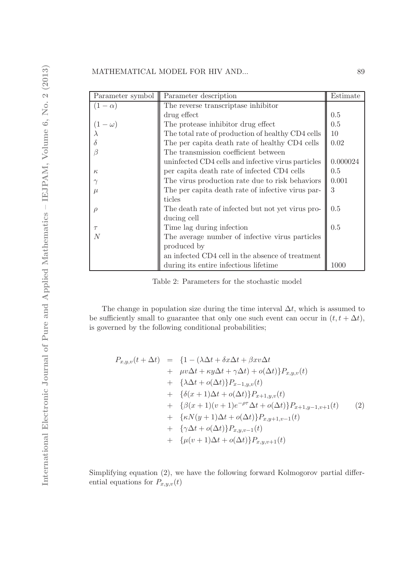| Parameter symbol | Parameter description                              | Estimate |
|------------------|----------------------------------------------------|----------|
| $(1-\alpha)$     | The reverse transcriptase inhibitor                |          |
|                  | drug effect                                        | 0.5      |
| $(1 - \omega)$   | The protease inhibitor drug effect                 | 0.5      |
|                  | The total rate of production of healthy CD4 cells  | 10       |
|                  | The per capita death rate of healthy CD4 cells     | 0.02     |
|                  | The transmission coefficient between               |          |
|                  | uninfected CD4 cells and infective virus particles | 0.000024 |
| $\kappa$         | per capita death rate of infected CD4 cells        | 0.5      |
|                  | The virus production rate due to risk behaviors    | 0.001    |
| $\mu$            | The per capita death rate of infective virus par-  | 3        |
|                  | ticles                                             |          |
| $\rho$           | The death rate of infected but not yet virus pro-  | 0.5      |
|                  | ducing cell                                        |          |
| $\tau$           | Time lag during infection                          | 0.5      |
| N                | The average number of infective virus particles    |          |
|                  | produced by                                        |          |
|                  | an infected CD4 cell in the absence of treatment   |          |
|                  | during its entire infectious lifetime.             | 1000     |

Table 2: Parameters for the stochastic model

The change in population size during the time interval  $\Delta t$ , which is assumed to be sufficiently small to guarantee that only one such event can occur in  $(t, t + \Delta t)$ , is governed by the following conditional probabilities;

$$
P_{x,y,v}(t + \Delta t) = \{1 - (\lambda \Delta t + \delta x \Delta t + \beta x v \Delta t
$$
  
+  $\mu v \Delta t + \kappa y \Delta t + \gamma \Delta t\} + o(\Delta t)\} P_{x,y,v}(t)$   
+  $\{\lambda \Delta t + o(\Delta t)\} P_{x-1,y,v}(t)$   
+  $\{\delta(x+1) \Delta t + o(\Delta t)\} P_{x+1,y,v}(t)$   
+  $\{\beta(x+1)(v+1)e^{-\rho\tau}\Delta t + o(\Delta t)\} P_{x+1,y-1,v+1}(t)$   
+  $\{\kappa N(y+1) \Delta t + o(\Delta t)\} P_{x,y+1,v-1}(t)$   
+  $\{\gamma \Delta t + o(\Delta t)\} P_{x,y,v-1}(t)$   
+  $\{\mu(v+1) \Delta t + o(\Delta t)\} P_{x,y,v+1}(t)$ 

Simplifying equation (2), we have the following forward Kolmogorov partial differential equations for  $P_{x,y,v}(t)$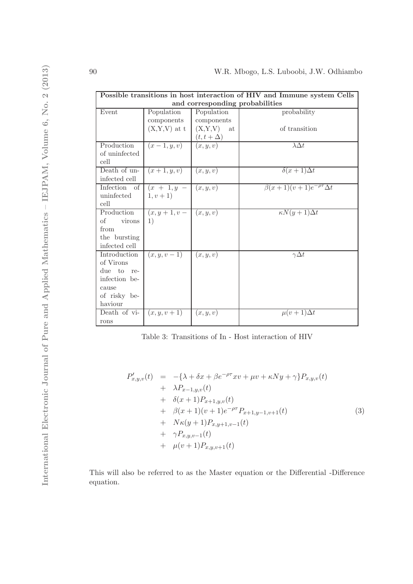| Possible transitions in host interaction of HIV and Immune system Cells |                |                                |                                        |  |  |  |
|-------------------------------------------------------------------------|----------------|--------------------------------|----------------------------------------|--|--|--|
| and corresponding probabilities                                         |                |                                |                                        |  |  |  |
| Event                                                                   | Population     | Population                     | probability                            |  |  |  |
|                                                                         | components     | components                     |                                        |  |  |  |
|                                                                         | $(X,Y,V)$ at t | (X,Y,V)<br>at                  | of transition                          |  |  |  |
|                                                                         |                | $\frac{(t,t+\Delta)}{(x,y,v)}$ |                                        |  |  |  |
| Production                                                              | $(x-1,y,v)$    |                                | $\lambda \Delta t$                     |  |  |  |
| of uninfected                                                           |                |                                |                                        |  |  |  |
| cell                                                                    |                |                                |                                        |  |  |  |
| Death of un-                                                            | $(x+1, y, v)$  | (x, y, v)                      | $\delta(x+1)\Delta t$                  |  |  |  |
| infected cell                                                           |                |                                |                                        |  |  |  |
| Infection of                                                            | $(x + 1, y -$  | (x, y, v)                      | $\beta(x+1)(v+1)e^{-\rho\tau}\Delta t$ |  |  |  |
| uninfected                                                              | $1, v + 1)$    |                                |                                        |  |  |  |
| cell                                                                    |                |                                |                                        |  |  |  |
| Production                                                              | $(x, y+1, v-$  | (x, y, v)                      | $\kappa N(y+1)\Delta t$                |  |  |  |
| οf<br>virons                                                            | 1)             |                                |                                        |  |  |  |
| from                                                                    |                |                                |                                        |  |  |  |
| the bursting                                                            |                |                                |                                        |  |  |  |
| infected cell                                                           |                |                                |                                        |  |  |  |
| Introduction                                                            | $(x, y, v-1)$  | (x, y, v)                      | $\gamma \Delta t$                      |  |  |  |
| of Virons                                                               |                |                                |                                        |  |  |  |
| due to re-                                                              |                |                                |                                        |  |  |  |
| infection be-                                                           |                |                                |                                        |  |  |  |
| cause                                                                   |                |                                |                                        |  |  |  |
| of risky be-                                                            |                |                                |                                        |  |  |  |
| haviour                                                                 |                |                                |                                        |  |  |  |
| Death of vi-                                                            | $(x, y, v+1)$  | (x, y, v)                      | $\mu(v+1)\Delta t$                     |  |  |  |
| rons                                                                    |                |                                |                                        |  |  |  |

Table 3: Transitions of In - Host interaction of HIV

$$
P'_{x,y,v}(t) = -\{\lambda + \delta x + \beta e^{-\rho \tau} x v + \mu v + \kappa N y + \gamma\} P_{x,y,v}(t) + \lambda P_{x-1,y,v}(t) + \delta(x+1) P_{x+1,y,v}(t) + \beta(x+1) (v+1) e^{-\rho \tau} P_{x+1,y-1,v+1}(t) + N\kappa(y+1) P_{x,y+1,v-1}(t) + \gamma P_{x,y,v-1}(t) + \mu(v+1) P_{x,y,v+1}(t)
$$
 (3)

This will also be referred to as the Master equation or the Differential -Difference equation.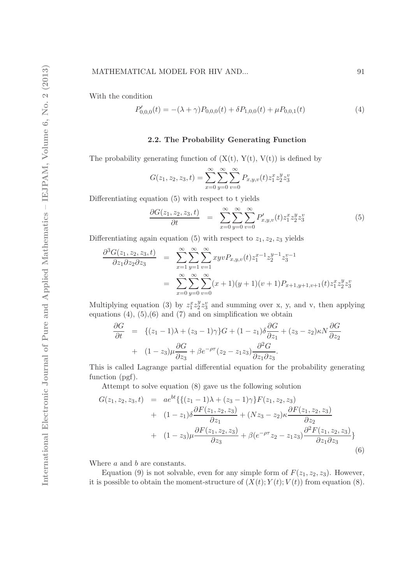#### MATHEMATICAL MODEL FOR HIV AND... 91

With the condition

$$
P'_{0,0,0}(t) = -(\lambda + \gamma)P_{0,0,0}(t) + \delta P_{1,0,0}(t) + \mu P_{0,0,1}(t)
$$
\n(4)

#### 2.2. The Probability Generating Function

The probability generating function of  $(X(t), Y(t), V(t))$  is defined by

$$
G(z_1, z_2, z_3, t) = \sum_{x=0}^{\infty} \sum_{y=0}^{\infty} \sum_{v=0}^{\infty} P_{x,y,v}(t) z_1^x z_2^y z_3^v
$$

Differentiating equation (5) with respect to t yields

$$
\frac{\partial G(z_1, z_2, z_3, t)}{\partial t} = \sum_{x=0}^{\infty} \sum_{y=0}^{\infty} \sum_{v=0}^{\infty} P'_{x,y,v}(t) z_1^x z_2^y z_3^v \tag{5}
$$

Differentiating again equation (5) with respect to  $z_1, z_2, z_3$  yields

$$
\frac{\partial^3 G(z_1, z_2, z_3, t)}{\partial z_1 \partial z_2 \partial z_3} = \sum_{x=1}^{\infty} \sum_{y=1}^{\infty} \sum_{v=1}^{\infty} xyv P_{x,y,v}(t) z_1^{x-1} z_2^{y-1} z_3^{v-1}
$$

$$
= \sum_{x=0}^{\infty} \sum_{y=0}^{\infty} \sum_{v=0}^{\infty} (x+1)(y+1)(v+1) P_{x+1,y+1,v+1}(t) z_1^x z_2^y z_3^v
$$

Multiplying equation (3) by  $z_1^x z_2^y$  $2z_2^v$  and summing over x, y, and v, then applying equations  $(4)$ ,  $(5)$ ,  $(6)$  and  $(7)$  and on simplification we obtain

$$
\frac{\partial G}{\partial t} = \left\{ (z_1 - 1)\lambda + (z_3 - 1)\gamma \right\} G + (1 - z_1)\delta \frac{\partial G}{\partial z_1} + (z_3 - z_2)\kappa N \frac{\partial G}{\partial z_2} \n+ (1 - z_3)\mu \frac{\partial G}{\partial z_3} + \beta e^{-\rho \tau} (z_2 - z_1 z_3) \frac{\partial^2 G}{\partial z_1 \partial z_3}.
$$

This is called Lagrange partial differential equation for the probability generating function (pgf).

Attempt to solve equation (8) gave us the following solution

$$
G(z_1, z_2, z_3, t) = a e^{bt} \{ \{ (z_1 - 1)\lambda + (z_3 - 1)\gamma \} F(z_1, z_2, z_3) + (1 - z_1) \delta \frac{\partial F(z_1, z_2, z_3)}{\partial z_1} + (Nz_3 - z_2) \kappa \frac{\partial F(z_1, z_2, z_3)}{\partial z_2} + (1 - z_3) \mu \frac{\partial F(z_1, z_2, z_3)}{\partial z_3} + \beta (e^{-\rho \tau} z_2 - z_1 z_3) \frac{\partial^2 F(z_1, z_2, z_3)}{\partial z_1 \partial z_3} \}
$$
\n
$$
(6)
$$

Where a and b are constants.

Equation (9) is not solvable, even for any simple form of  $F(z_1, z_2, z_3)$ . However, it is possible to obtain the moment-structure of  $(X(t); Y(t); V(t))$  from equation (8).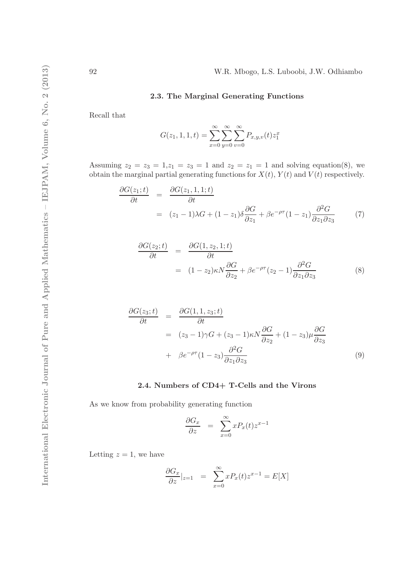# 2.3. The Marginal Generating Functions

Recall that

$$
G(z_1, 1, 1, t) = \sum_{x=0}^{\infty} \sum_{y=0}^{\infty} \sum_{v=0}^{\infty} P_{x,y,v}(t) z_1^x
$$

Assuming  $z_2 = z_3 = 1, z_1 = z_3 = 1$  and  $z_2 = z_1 = 1$  and solving equation(8), we obtain the marginal partial generating functions for  $X(t)$ ,  $Y(t)$  and  $V(t)$  respectively.

$$
\frac{\partial G(z_1;t)}{\partial t} = \frac{\partial G(z_1,1,1;t)}{\partial t}
$$
  
=  $(z_1 - 1)\lambda G + (1 - z_1)\delta \frac{\partial G}{\partial z_1} + \beta e^{-\rho \tau} (1 - z_1) \frac{\partial^2 G}{\partial z_1 \partial z_3}$  (7)

$$
\frac{\partial G(z_2;t)}{\partial t} = \frac{\partial G(1,z_2,1;t)}{\partial t}
$$
  
=  $(1-z_2)\kappa N \frac{\partial G}{\partial z_2} + \beta e^{-\rho \tau} (z_2 - 1) \frac{\partial^2 G}{\partial z_1 \partial z_3}$  (8)

$$
\frac{\partial G(z_3;t)}{\partial t} = \frac{\partial G(1,1,z_3;t)}{\partial t}
$$
  
=  $(z_3 - 1)\gamma G + (z_3 - 1)\kappa N \frac{\partial G}{\partial z_2} + (1 - z_3)\mu \frac{\partial G}{\partial z_3}$   
+  $\beta e^{-\rho \tau} (1 - z_3) \frac{\partial^2 G}{\partial z_1 \partial z_3}$  (9)

## 2.4. Numbers of CD4+ T-Cells and the Virons

As we know from probability generating function

$$
\frac{\partial G_x}{\partial z} = \sum_{x=0}^{\infty} x P_x(t) z^{x-1}
$$

Letting  $z = 1$ , we have

$$
\frac{\partial G_x}{\partial z}|_{z=1} = \sum_{x=0}^{\infty} x P_x(t) z^{x-1} = E[X]
$$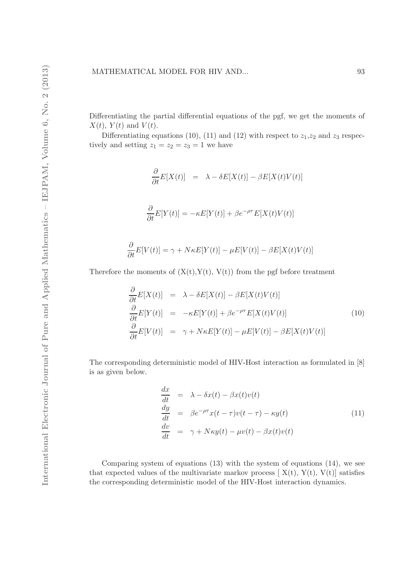Differentiating the partial differential equations of the pgf, we get the moments of  $X(t)$ ,  $Y(t)$  and  $V(t)$ .

Differentiating equations (10), (11) and (12) with respect to  $z_1, z_2$  and  $z_3$  respectively and setting  $z_1 = z_2 = z_3 = 1$  we have

$$
\frac{\partial}{\partial t}E[X(t)] = \lambda - \delta E[X(t)] - \beta E[X(t)V(t)]
$$
  

$$
\frac{\partial}{\partial t}E[Y(t)] = -\kappa E[Y(t)] + \beta e^{-\rho \tau} E[X(t)V(t)]
$$

$$
\frac{\partial}{\partial t}E[V(t)] = \gamma + N\kappa E[Y(t)] - \mu E[V(t)] - \beta E[X(t)V(t)]
$$

Therefore the moments of  $(X(t), Y(t), V(t))$  from the pgf before treatment

$$
\frac{\partial}{\partial t}E[X(t)] = \lambda - \delta E[X(t)] - \beta E[X(t)V(t)]
$$
\n
$$
\frac{\partial}{\partial t}E[Y(t)] = -\kappa E[Y(t)] + \beta e^{-\rho\tau} E[X(t)V(t)]
$$
\n
$$
\frac{\partial}{\partial t}E[V(t)] = \gamma + N\kappa E[Y(t)] - \mu E[V(t)] - \beta E[X(t)V(t)]
$$
\n(10)

The corresponding deterministic model of HIV-Host interaction as formulated in [8] is as given below.

$$
\begin{aligned}\n\frac{dx}{dt} &= \lambda - \delta x(t) - \beta x(t)v(t) \\
\frac{dy}{dt} &= \beta e^{-\rho \tau} x(t - \tau)v(t - \tau) - \kappa y(t) \\
\frac{dv}{dt} &= \gamma + N\kappa y(t) - \mu v(t) - \beta x(t)v(t)\n\end{aligned} \tag{11}
$$

Comparing system of equations  $(13)$  with the system of equations  $(14)$ , we see that expected values of the multivariate markov process  $[X(t), Y(t), V(t)]$  satisfies the corresponding deterministic model of the HIV-Host interaction dynamics.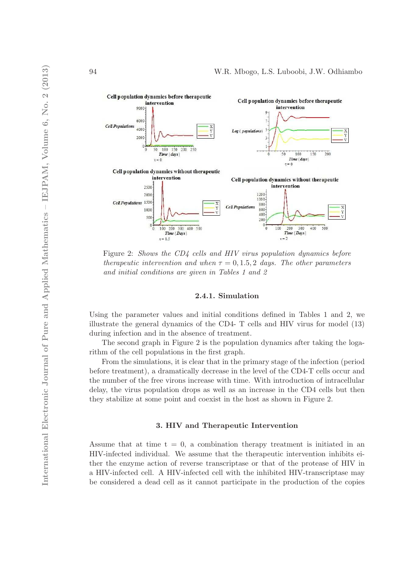

Figure 2: Shows the CD4 cells and HIV virus population dynamics before therapeutic intervention and when  $\tau = 0, 1.5, 2$  days. The other parameters and initial conditions are given in Tables 1 and 2

#### 2.4.1. Simulation

Using the parameter values and initial conditions defined in Tables 1 and 2, we illustrate the general dynamics of the CD4- T cells and HIV virus for model (13) during infection and in the absence of treatment.

The second graph in Figure 2 is the population dynamics after taking the logarithm of the cell populations in the first graph.

From the simulations, it is clear that in the primary stage of the infection (period before treatment), a dramatically decrease in the level of the CD4-T cells occur and the number of the free virons increase with time. With introduction of intracellular delay, the virus population drops as well as an increase in the CD4 cells but then they stabilize at some point and coexist in the host as shown in Figure 2.

### 3. HIV and Therapeutic Intervention

Assume that at time  $t = 0$ , a combination therapy treatment is initiated in an HIV-infected individual. We assume that the therapeutic intervention inhibits either the enzyme action of reverse transcriptase or that of the protease of HIV in a HIV-infected cell. A HIV-infected cell with the inhibited HIV-transcriptase may be considered a dead cell as it cannot participate in the production of the copies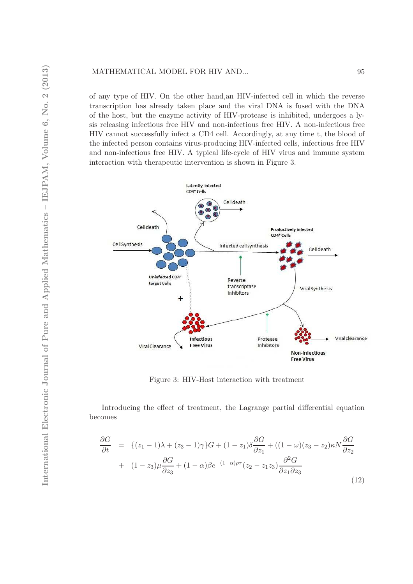of any type of HIV. On the other hand,an HIV-infected cell in which the reverse transcription has already taken place and the viral DNA is fused with the DNA of the host, but the enzyme activity of HIV-protease is inhibited, undergoes a lysis releasing infectious free HIV and non-infectious free HIV. A non-infectious free HIV cannot successfully infect a CD4 cell. Accordingly, at any time t, the blood of the infected person contains virus-producing HIV-infected cells, infectious free HIV and non-infectious free HIV. A typical life-cycle of HIV virus and immune system interaction with therapeutic intervention is shown in Figure 3.



Figure 3: HIV-Host interaction with treatment

Introducing the effect of treatment, the Lagrange partial differential equation becomes

$$
\frac{\partial G}{\partial t} = \left\{ (z_1 - 1)\lambda + (z_3 - 1)\gamma \right\} G + (1 - z_1)\delta \frac{\partial G}{\partial z_1} + ((1 - \omega)(z_3 - z_2)\kappa N \frac{\partial G}{\partial z_2} + (1 - z_3)\mu \frac{\partial G}{\partial z_3} + (1 - \alpha)\beta e^{-(1 - \alpha)\rho \tau} (z_2 - z_1 z_3) \frac{\partial^2 G}{\partial z_1 \partial z_3} + (1 - z_3)\mu \frac{\partial G}{\partial z_3} + (1 - \alpha)\beta e^{-(1 - \alpha)\rho \tau} (z_2 - z_1 z_3) \frac{\partial^2 G}{\partial z_1 \partial z_3} \tag{12}
$$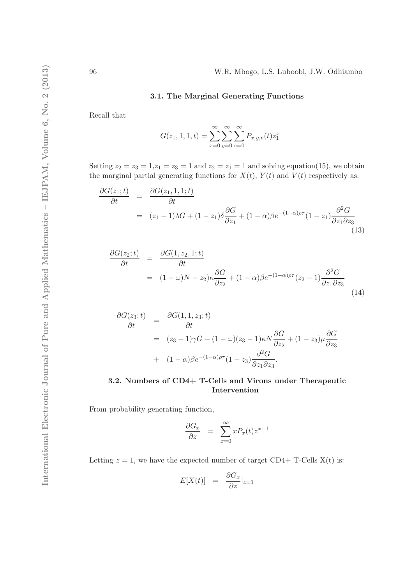### 3.1. The Marginal Generating Functions

Recall that

$$
G(z_1, 1, 1, t) = \sum_{x=0}^{\infty} \sum_{y=0}^{\infty} \sum_{v=0}^{\infty} P_{x,y,v}(t) z_1^x
$$

Setting  $z_2 = z_3 = 1, z_1 = z_3 = 1$  and  $z_2 = z_1 = 1$  and solving equation(15), we obtain the marginal partial generating functions for  $X(t)$ ,  $Y(t)$  and  $V(t)$  respectively as:

$$
\frac{\partial G(z_1;t)}{\partial t} = \frac{\partial G(z_1,1,1;t)}{\partial t}
$$
  
=  $(z_1 - 1)\lambda G + (1 - z_1)\delta \frac{\partial G}{\partial z_1} + (1 - \alpha)\beta e^{-(1 - \alpha)\rho\tau} (1 - z_1) \frac{\partial^2 G}{\partial z_1 \partial z_3}$  (13)

$$
\frac{\partial G(z_2;t)}{\partial t} = \frac{\partial G(1,z_2,1;t)}{\partial t}
$$
  
=  $(1-\omega)N - z_2)\kappa \frac{\partial G}{\partial z_2} + (1-\alpha)\beta e^{-(1-\alpha)\rho\tau} (z_2 - 1) \frac{\partial^2 G}{\partial z_1 \partial z_3}$  (14)

$$
\frac{\partial G(z_3;t)}{\partial t} = \frac{\partial G(1,1,z_3;t)}{\partial t}
$$
  
=  $(z_3 - 1)\gamma G + (1 - \omega)(z_3 - 1)\kappa N \frac{\partial G}{\partial z_2} + (1 - z_3)\mu \frac{\partial G}{\partial z_3}$   
+  $(1 - \alpha)\beta e^{-(1 - \alpha)\rho\tau}(1 - z_3)\frac{\partial^2 G}{\partial z_1 \partial z_3}.$ 

# 3.2. Numbers of CD4+ T-Cells and Virons under Therapeutic Intervention

From probability generating function,

$$
\frac{\partial G_x}{\partial z} = \sum_{x=0}^{\infty} x P_x(t) z^{x-1}
$$

Letting  $z = 1$ , we have the expected number of target CD4+ T-Cells  $X(t)$  is:

$$
E[X(t)] = \frac{\partial G_x}{\partial z}|_{z=1}
$$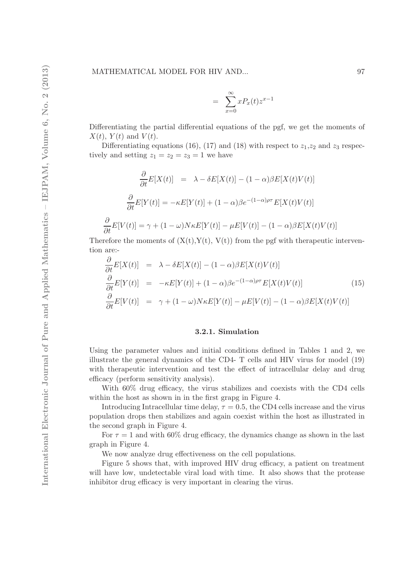$$
= \sum_{x=0}^{\infty} x P_x(t) z^{x-1}
$$

Differentiating the partial differential equations of the pgf, we get the moments of  $X(t)$ ,  $Y(t)$  and  $V(t)$ .

Differentiating equations (16), (17) and (18) with respect to  $z_1, z_2$  and  $z_3$  respectively and setting  $z_1 = z_2 = z_3 = 1$  we have

$$
\frac{\partial}{\partial t}E[X(t)] = \lambda - \delta E[X(t)] - (1 - \alpha)\beta E[X(t)V(t)]
$$

$$
\frac{\partial}{\partial t}E[Y(t)] = -\kappa E[Y(t)] + (1 - \alpha)\beta e^{-(1 - \alpha)\rho\tau} E[X(t)V(t)]
$$

$$
\frac{\partial}{\partial t}E[V(t)] = \gamma + (1 - \omega)N\kappa E[Y(t)] - \mu E[V(t)] - (1 - \alpha)\beta E[X(t)V(t)]
$$

Therefore the moments of  $(X(t), Y(t), V(t))$  from the pgf with therapeutic intervention are:-

$$
\frac{\partial}{\partial t}E[X(t)] = \lambda - \delta E[X(t)] - (1 - \alpha)\beta E[X(t)V(t)]
$$
\n
$$
\frac{\partial}{\partial t}E[Y(t)] = -\kappa E[Y(t)] + (1 - \alpha)\beta e^{-(1 - \alpha)\rho\tau} E[X(t)V(t)] \qquad (15)
$$
\n
$$
\frac{\partial}{\partial t}E[V(t)] = \gamma + (1 - \omega)N\kappa E[Y(t)] - \mu E[V(t)] - (1 - \alpha)\beta E[X(t)V(t)] \qquad (17)
$$

#### 3.2.1. Simulation

Using the parameter values and initial conditions defined in Tables 1 and 2, we illustrate the general dynamics of the CD4- T cells and HIV virus for model (19) with therapeutic intervention and test the effect of intracellular delay and drug efficacy (perform sensitivity analysis).

With 60% drug efficacy, the virus stabilizes and coexists with the CD4 cells within the host as shown in in the first grapg in Figure 4.

Introducing Intracellular time delay,  $\tau = 0.5$ , the CD4 cells increase and the virus population drops then stabilizes and again coexist within the host as illustrated in the second graph in Figure 4.

For  $\tau = 1$  and with 60% drug efficacy, the dynamics change as shown in the last graph in Figure 4.

We now analyze drug effectiveness on the cell populations.

Figure 5 shows that, with improved HIV drug efficacy, a patient on treatment will have low, undetectable viral load with time. It also shows that the protease inhibitor drug efficacy is very important in clearing the virus.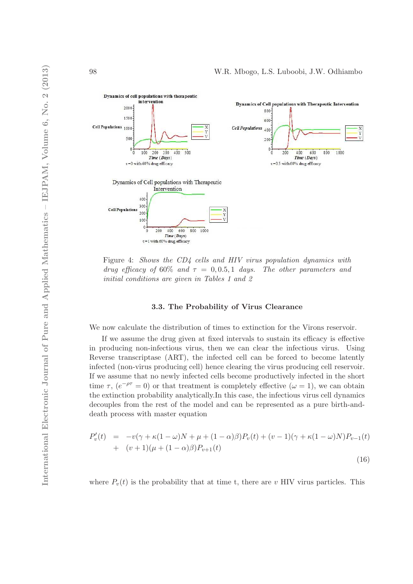

Figure 4: Shows the CD4 cells and HIV virus population dynamics with drug efficacy of 60% and  $\tau = 0, 0.5, 1$  days. The other parameters and initial conditions are given in Tables 1 and 2

#### 3.3. The Probability of Virus Clearance

We now calculate the distribution of times to extinction for the Virons reservoir.

If we assume the drug given at fixed intervals to sustain its efficacy is effective in producing non-infectious virus, then we can clear the infectious virus. Using Reverse transcriptase (ART), the infected cell can be forced to become latently infected (non-virus producing cell) hence clearing the virus producing cell reservoir. If we assume that no newly infected cells become productively infected in the short time  $\tau$ ,  $(e^{-\rho\tau} = 0)$  or that treatment is completely effective  $(\omega = 1)$ , we can obtain the extinction probability analytically.In this case, the infectious virus cell dynamics decouples from the rest of the model and can be represented as a pure birth-anddeath process with master equation

$$
P'_{v}(t) = -v(\gamma + \kappa(1 - \omega)N + \mu + (1 - \alpha)\beta)P_{v}(t) + (v - 1)(\gamma + \kappa(1 - \omega)N)P_{v-1}(t) + (v + 1)(\mu + (1 - \alpha)\beta)P_{v+1}(t)
$$
\n(16)

where  $P_v(t)$  is the probability that at time t, there are v HIV virus particles. This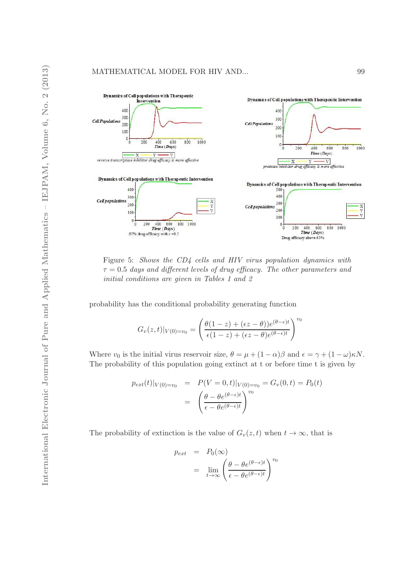

Figure 5: Shows the CD4 cells and HIV virus population dynamics with  $\tau = 0.5$  days and different levels of drug efficacy. The other parameters and initial conditions are given in Tables 1 and 2

probability has the conditional probability generating function

$$
G_v(z,t)|_{V(0)=v_0} = \left(\frac{\theta(1-z) + (\epsilon z - \theta))e^{(\theta-\epsilon)t}}{\epsilon(1-z) + (\epsilon z - \theta)e^{(\theta-\epsilon)t}}\right)^{v_0}
$$

Where  $v_0$  is the initial virus reservoir size,  $\theta = \mu + (1 - \alpha)\beta$  and  $\epsilon = \gamma + (1 - \omega)\kappa N$ . The probability of this population going extinct at t or before time t is given by

$$
p_{ext}(t)|_{V(0)=v_0} = P(V=0,t)|_{V(0)=v_0} = G_v(0,t) = P_0(t)
$$

$$
= \left(\frac{\theta - \theta e^{(\theta - \epsilon)t}}{\epsilon - \theta e^{(\theta - \epsilon)t}}\right)^{v_0}
$$

The probability of extinction is the value of  $G_v(z, t)$  when  $t \to \infty$ , that is

$$
p_{ext} = P_0(\infty)
$$
  
= 
$$
\lim_{t \to \infty} \left( \frac{\theta - \theta e^{(\theta - \epsilon)t}}{\epsilon - \theta e^{(\theta - \epsilon)t}} \right)^{v_0}
$$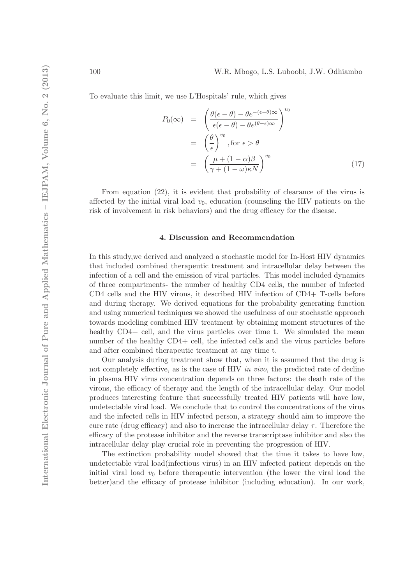To evaluate this limit, we use L'Hospitals' rule, which gives

$$
P_0(\infty) = \left(\frac{\theta(\epsilon - \theta) - \theta e^{-(\epsilon - \theta)\infty}}{\epsilon(\epsilon - \theta) - \theta e^{(\theta - \epsilon)\infty}}\right)^{v_0}
$$

$$
= \left(\frac{\theta}{\epsilon}\right)^{v_0}, \text{for } \epsilon > \theta
$$

$$
= \left(\frac{\mu + (1 - \alpha)\beta}{\gamma + (1 - \omega)\kappa N}\right)^{v_0}
$$
(17)

From equation (22), it is evident that probability of clearance of the virus is affected by the initial viral load  $v_0$ , education (counseling the HIV patients on the risk of involvement in risk behaviors) and the drug efficacy for the disease.

#### 4. Discussion and Recommendation

In this study,we derived and analyzed a stochastic model for In-Host HIV dynamics that included combined therapeutic treatment and intracellular delay between the infection of a cell and the emission of viral particles. This model included dynamics of three compartments- the number of healthy CD4 cells, the number of infected CD4 cells and the HIV virons, it described HIV infection of CD4+ T-cells before and during therapy. We derived equations for the probability generating function and using numerical techniques we showed the usefulness of our stochastic approach towards modeling combined HIV treatment by obtaining moment structures of the healthy CD4+ cell, and the virus particles over time t. We simulated the mean number of the healthy CD4+ cell, the infected cells and the virus particles before and after combined therapeutic treatment at any time t.

Our analysis during treatment show that, when it is assumed that the drug is not completely effective, as is the case of HIV *in vivo*, the predicted rate of decline in plasma HIV virus concentration depends on three factors: the death rate of the virons, the efficacy of therapy and the length of the intracellular delay. Our model produces interesting feature that successfully treated HIV patients will have low, undetectable viral load. We conclude that to control the concentrations of the virus and the infected cells in HIV infected person, a strategy should aim to improve the cure rate (drug efficacy) and also to increase the intracellular delay  $\tau$ . Therefore the efficacy of the protease inhibitor and the reverse transcriptase inhibitor and also the intracellular delay play crucial role in preventing the progression of HIV.

The extinction probability model showed that the time it takes to have low, undetectable viral load(infectious virus) in an HIV infected patient depends on the initial viral load  $v_0$  before therapeutic intervention (the lower the viral load the better)and the efficacy of protease inhibitor (including education). In our work,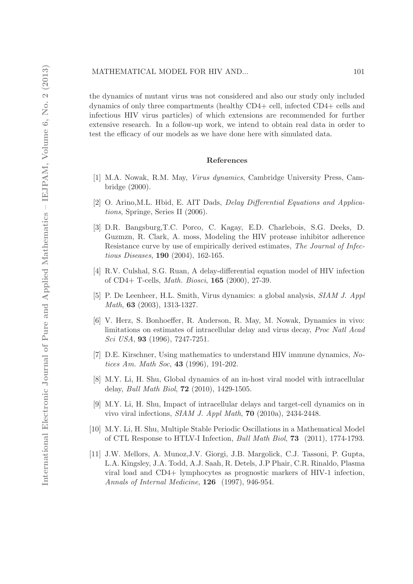the dynamics of mutant virus was not considered and also our study only included dynamics of only three compartments (healthy CD4+ cell, infected CD4+ cells and infectious HIV virus particles) of which extensions are recommended for further extensive research. In a follow-up work, we intend to obtain real data in order to test the efficacy of our models as we have done here with simulated data.

#### References

- [1] M.A. Nowak, R.M. May, Virus dynamics, Cambridge University Press, Cambridge (2000).
- [2] O. Arino,M.L. Hbid, E. AIT Dads, Delay Differential Equations and Applications, Springe, Series II (2006).
- [3] D.R. Bangsburg,T.C. Porco, C. Kagay, E.D. Charlebois, S.G. Deeks, D. Guzmzn, R. Clark, A. moss, Modeling the HIV protease inhibitor adherence Resistance curve by use of empirically derived estimates, The Journal of Infectious Diseases, 190 (2004), 162-165.
- [4] R.V. Culshal, S.G. Ruan, A delay-differential equation model of HIV infection of CD4+ T-cells, Math. Biosci, 165 (2000), 27-39.
- [5] P. De Leenheer, H.L. Smith, Virus dynamics: a global analysis, SIAM J. Appl Math, 63 (2003), 1313-1327.
- [6] V. Herz, S. Bonhoeffer, R. Anderson, R. May, M. Nowak, Dynamics in vivo: limitations on estimates of intracellular delay and virus decay, Proc Natl Acad Sci USA, 93 (1996), 7247-7251.
- [7] D.E. Kirschner, Using mathematics to understand HIV immune dynamics, Notices Am. Math Soc, 43 (1996), 191-202.
- [8] M.Y. Li, H. Shu, Global dynamics of an in-host viral model with intracellular delay, Bull Math Biol, 72 (2010), 1429-1505.
- [9] M.Y. Li, H. Shu, Impact of intracellular delays and target-cell dynamics on in vivo viral infections, SIAM J. Appl Math, 70 (2010a), 2434-2448.
- [10] M.Y. Li, H. Shu, Multiple Stable Periodic Oscillations in a Mathematical Model of CTL Response to HTLV-I Infection, Bull Math Biol, 73 (2011), 1774-1793.
- [11] J.W. Mellors, A. Munoz,J.V. Giorgi, J.B. Margolick, C.J. Tassoni, P. Gupta, L.A. Kingsley, J.A. Todd, A.J. Saah, R. Detels, J.P Phair, C.R. Rinaldo, Plasma viral load and CD4+ lymphocytes as prognostic markers of HIV-1 infection, Annals of Internal Medicine, 126 (1997), 946-954.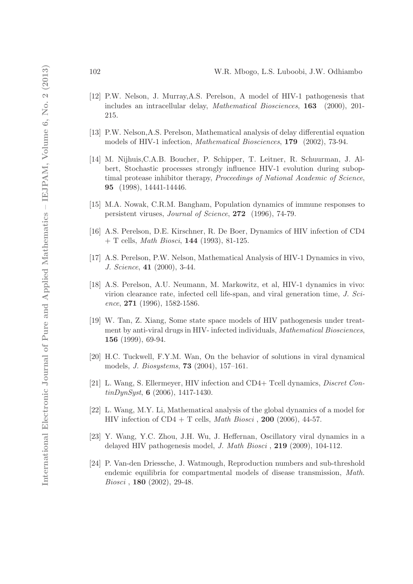- [12] P.W. Nelson, J. Murray,A.S. Perelson, A model of HIV-1 pathogenesis that includes an intracellular delay, Mathematical Biosciences, 163 (2000), 201- 215.
- [13] P.W. Nelson,A.S. Perelson, Mathematical analysis of delay differential equation models of HIV-1 infection, Mathematical Biosciences, 179 (2002), 73-94.
- [14] M. Nijhuis,C.A.B. Boucher, P. Schipper, T. Leitner, R. Schuurman, J. Albert, Stochastic processes strongly influence HIV-1 evolution during suboptimal protease inhibitor therapy, Proceedings of National Academic of Science, 95 (1998), 14441-14446.
- [15] M.A. Nowak, C.R.M. Bangham, Population dynamics of immune responses to persistent viruses, Journal of Science, 272 (1996), 74-79.
- [16] A.S. Perelson, D.E. Kirschner, R. De Boer, Dynamics of HIV infection of CD4  $+$  T cells, *Math Biosci*, **144** (1993), 81-125.
- [17] A.S. Perelson, P.W. Nelson, Mathematical Analysis of HIV-1 Dynamics in vivo, J. Science, 41 (2000), 3-44.
- [18] A.S. Perelson, A.U. Neumann, M. Markowitz, et al, HIV-1 dynamics in vivo: virion clearance rate, infected cell life-span, and viral generation time,  $J. Sci$ ence, 271 (1996), 1582-1586.
- [19] W. Tan, Z. Xiang, Some state space models of HIV pathogenesis under treatment by anti-viral drugs in HIV- infected individuals, Mathematical Biosciences, 156 (1999), 69-94.
- [20] H.C. Tuckwell, F.Y.M. Wan, On the behavior of solutions in viral dynamical models, J. Biosystems, 73 (2004), 157–161.
- [21] L. Wang, S. Ellermeyer, HIV infection and CD4+ Tcell dynamics, Discret Con- $\frac{t}{10}$  tinDynSyst, 6 (2006), 1417-1430.
- [22] L. Wang, M.Y. Li, Mathematical analysis of the global dynamics of a model for HIV infection of  $CD4 + T$  cells, *Math Biosci*, **200** (2006), 44-57.
- [23] Y. Wang, Y.C. Zhou, J.H. Wu, J. Heffernan, Oscillatory viral dynamics in a delayed HIV pathogenesis model, J. Math Biosci , 219 (2009), 104-112.
- [24] P. Van-den Driessche, J. Watmough, Reproduction numbers and sub-threshold endemic equilibria for compartmental models of disease transmission, Math. Biosci , 180 (2002), 29-48.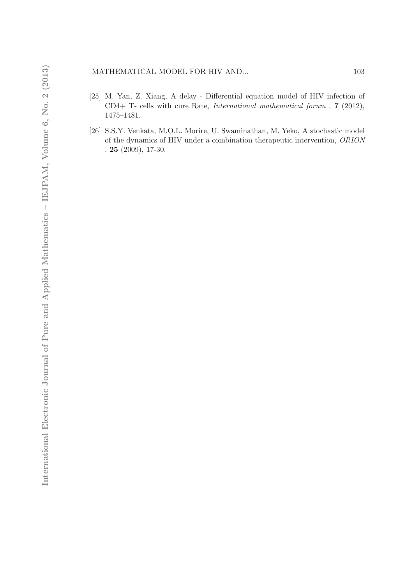## MATHEMATICAL MODEL FOR HIV AND... 103

- [25] M. Yan, Z. Xiang, A delay Differential equation model of HIV infection of CD4+ T- cells with cure Rate, International mathematical forum , 7 (2012), 1475–1481.
- [26] S.S.Y. Venkata, M.O.L. Morire, U. Swaminathan, M. Yeko, A stochastic model of the dynamics of HIV under a combination therapeutic intervention, ORION , 25 (2009), 17-30.